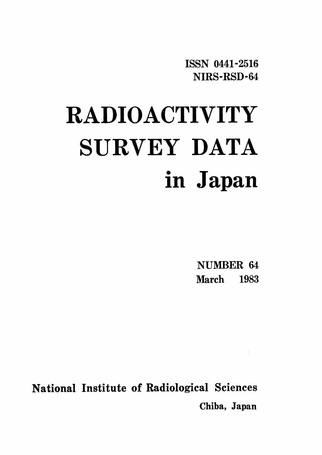ISSN 0441-2516 NIRS-RSD-64

# RADIOACTIVITY SURVEY DATA in Japan

**NUMBER 64 March** 1983

National Institute of Radiological Sciences Chiba, Japan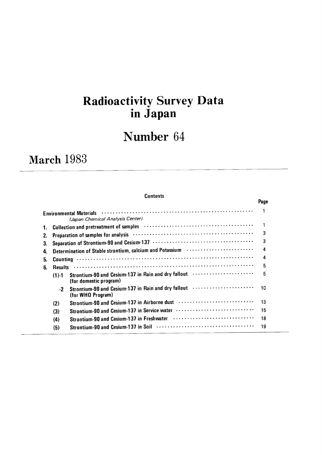# Radioactivity Survey Data in Japan

# Number 64

# March 1983

### **Contents**

|    |                |                                                                                                                        | Page |
|----|----------------|------------------------------------------------------------------------------------------------------------------------|------|
|    |                | <b>Environmental Materials</b><br>(Japan Chemical Analysis Center)                                                     |      |
| 1. |                | Collection and pretreatment of samples (and the context of sample subset of samples (and the context of samples        |      |
| 2. |                | Preparation of samples for analysis (and the context of the context of the preparation of samples for analysis         | 3    |
| 3. |                |                                                                                                                        | 3    |
| 4. |                | Determination of Stable strontium, calcium and Potassium <b>Protessium</b>                                             | 4    |
| 5. |                |                                                                                                                        | 4    |
| 6. | <b>Results</b> |                                                                                                                        | 5    |
|    | $(1) - 1$      | Strontium-90 and Cesium-137 in Rain and dry fallout<br>(for domestic program)                                          | 5    |
|    | $-2$           | Strontium-90 and Cesium-137 in Rain and dry fallout (and the continuum of the Strontium District)<br>(for WHO Program) | 10   |
|    | (2)            | Strontium-90 and Cesium-137 in Airborne dust                                                                           | 13   |
|    | (3)            | Strontium-90 and Cesium-137 in Service water                                                                           | 15   |
|    | (4)            |                                                                                                                        | 18   |
|    | (5)            |                                                                                                                        | 19   |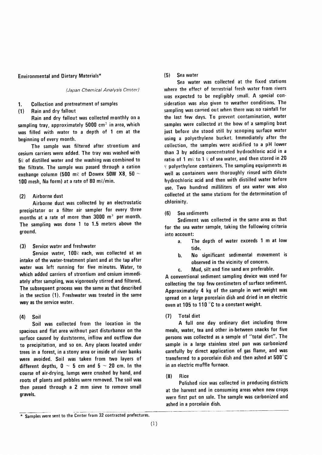### **Environmental and Dietary Materials\***

(Japan Chemical Analysis Center)

#### **Collection and pretreatment of samples**  $\mathbf{1}$ .

#### Rain and dry fallout  $(1)$

Rain and dry fallout was collected monthly on a sampling tray, approximately 5000 cm<sup>2</sup> in area, which was filled with water to a depth of 1 cm at the beginning of every month.

The sample was filtered after strontium and cesium carriers were added. The tray was washed with 50 of distilled water and the washing was combined to the filtrate. The sample was passed through a cation exchange column (500 m $\ell$  of Dowex 50W X8, 50  $\sim$ 100 mesh, Na form) at a rate of 80 ml/min.

#### $(2)$ Airborne dust

Airborne dust was collected by an electrostatic precipitator or a filter air sampler for every three months at a rate of more than  $3000 \, \text{m}^3$  per month. The sampling was done 1 to 1.5 meters above the ground.

Service water and freshwater  $(3)$ 

Service water, 1000 each, was collected at an intake of the water-treatment plant and at the tap after water was left running for five minutes. Water, to which added carriers of strontium and cesium immediately after sampling, was vigorously stirred and filtered. The subsequent process was the same as that described in the section (1). Freshwater was treated in the same way as the service water.

#### $(4)$ Soil

Soil was collected from the location in the spacious and flat area without past disturbance on the surface caused by duststorms, inflow and outflow due to precipitation, and so on. Any places located under trees in a forest, in a stony area or inside of river banks were avoided. Soil was taken from two layers of different depths,  $0 \sim 5$  cm and  $5 \sim 20$  cm. In the course of air-drying, lumps were crushed by hand, and roots of plants and pebbles were removed. The soil was then passed through a 2 mm sieve to remove small gravels.

#### $(5)$ Sea water

Sea water was collected at the fixed stations where the effect of terrestrial fresh water from rivers was expected to be negligibly small. A special consideration was also given to weather conditions. The sampling was carried out when there was no rainfall for the last few days. To prevent contamination, water samples were collected at the bow of a sampling boat just before she stood still by scooping surface water using a polyethylene bucket. Immediately after the collection, the samples were acidified to a pH lower than 3 by adding concentrated hydrochloric acid in a ratio of 1 m $\ell$  to 1  $\ell$  of sea water, and then stored in 20 *V* polyethylene containers. The sampling equipments as well as containers were thoroughly rinsed with dilute hydrochloric acid and then with distilled water before use. Two hundred milliliters of sea water was also collected at the same stations for the determination of chlorinity.

(6) Sea sediments

Sediment was collected in the same area as that for the sea water sample, taking the following criteria into account:

- The depth of water exceeds 1 m at low  $\mathbf{a}$ ahit
- No significant sedimental movement is **.** observed in the vicinity of concern.
- Mud, silt and fine sand are preferable. c.

A conventional sediment sampling device was used for collecting the top few centimeters of surface sediment. Approximately 4 kg of the sample in wet weight was spread on a large porcelain dish and dried in an electric oven at 105 to 110 °C to a constant weight.

#### **Total diet**  $(7)$

A full one day ordinary diet including three meals, water, tea and other in-between snacks for five persons was collected as a sample of "total diet". The sample in a large stainless steel pan was carbonized carefully by direct application of gas flame, and was transferred to a porcelain dish and then ashed at 500°C in an electric muffle furnace.

#### $(8)$ Rice

Polished rice was collected in producing districts at the harvest and in consuming areas when new crops were first put on sale. The sample was carbonized and ashed in a porcelain dish.

<sup>\*</sup> Samples were sent to the Center from 32 contracted prefectures.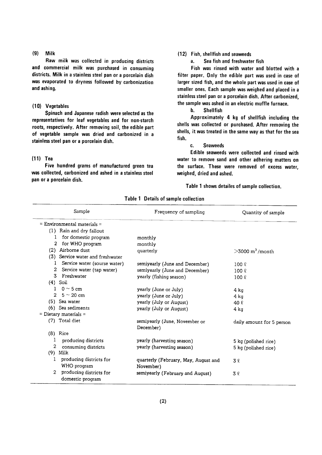#### $(9)$ Milk

Raw milk was collected in producing districts and commercial milk was purchased in consuming districts. Milk in a stainless steel pan or a porcelain dish was evaporated to dryness followed by carbonization and ashing.

## (10) Vegetables

Spinach and Japanese radish were selected as the representatives for leaf vegetables and for non-starch roots, respectively. After removing soil, the edible part of vegetable sample was dried and carbonized in a stainless steel pan or a porcelain dish.

# $(11)$  Tea

Five hundred grams of manufactured green tea was collected, carbonized and ashed in a stainless steel pan or a porcelain dish.

# (12) Fish, shellfish and seaweeds

a. Sea fish and freshwater fish

Fish was rinsed with water and blotted with a filter paper. Only the edible part was used in case of larger sized fish, and the whole part was used in case of smaller ones. Each sample was weighed and placed in a stainless steel pan or a porcelain dish. After carbonized, the sample was ashed in an electric muffle furnace.

b. Shellfish

Approximately 4 kg of shellfish including the shells was collected or purchased. After removing the shells, it was treated in the same way as that for the sea fish.

### C. Seaweeds

Edible seaweeds were collected and rinsed with water to remove sand and other adhering matters on the surface. These were removed of excess water, weighed, dried and ashed.

Table 1 shows detailes of sample collection.

| Sample                                                        | Frequency of sampling                      | Quantity of sample         |
|---------------------------------------------------------------|--------------------------------------------|----------------------------|
| $=$ Environmental materials $=$                               |                                            |                            |
| (1) Rain and dry fallout                                      |                                            |                            |
| for domestic program<br>1                                     | monthly                                    |                            |
| for WHO program<br>2                                          | monthly                                    |                            |
| Airborne dust<br>(2)                                          | quarterly                                  | $>3000 \text{ m}^3$ /month |
| Service water and freshwater<br>(3)                           |                                            |                            |
| Service water (sourse water)<br>1                             | semiyearly (June and December)             | $100 \ell$                 |
| 2<br>Service water (tap water)                                | semiyearly (June and December)             | $100 \ell$                 |
| 3<br>Freshwater                                               | yearly (fishing season)                    | $100 \ell$                 |
| $(4)$ Soil                                                    |                                            |                            |
| $0 \sim 5$ cm<br>1                                            | yearly (June or July)                      | 4 ka                       |
| $\mathfrak{D}$<br>$5 \sim 20$ cm                              | yearly (June or July)                      | 4 kg                       |
| (5) Sea water                                                 | yearly (July or August)                    | 40 $\ell$                  |
| (6) Sea sediments                                             | yearly (July or August)                    | 4 ka                       |
| $=$ Dietary materials $=$                                     |                                            |                            |
| (7) Total diet                                                | semiyearly (June, November or<br>December) | daily amount for 5 person  |
| $(8)$ Rice                                                    |                                            |                            |
| 1<br>producing districts                                      | yearly (harvesting season)                 | 5 kg (polished rice)       |
| 2<br>consuming districts                                      | yearly (harvesting season)                 | 5 kg (polished rice)       |
| (9)<br>Milk                                                   |                                            |                            |
| producing districts for<br>1                                  | quarterly (February, May, August and       | 3 2                        |
| WHO program                                                   | November)                                  |                            |
| producing districts for<br>$\overline{2}$<br>domestic program | semiyearly (February and August)           | 3 l                        |

Table 1 Details of sample collection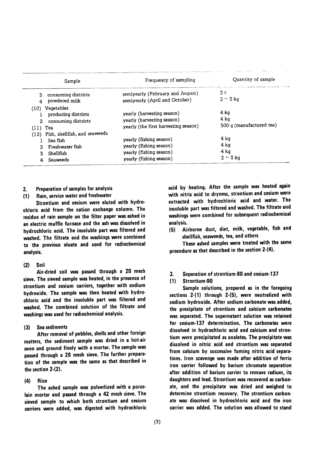| Sample                                                                                     | Frequency of sampling                                                                                    | Quantity of sample                       |
|--------------------------------------------------------------------------------------------|----------------------------------------------------------------------------------------------------------|------------------------------------------|
| consuming districts<br>3.<br>powdered milk                                                 | semiyearly (February and August)<br>semiyearly (April and October)                                       | 3 k<br>$2 \sim 3$ kg                     |
| (10) Vegetables<br>producing districts<br>consuming districts<br>2.<br>$(11)$ Tea          | yearly (harvesting season)<br>yearly (harvesting season)<br>yearly (the first harvesting season)         | 4 ka<br>4 ka<br>500 g (manufactured tea) |
| (12) Fish, shellfish, and seaweeds<br>Sea fish<br>Freshwater fish<br>Shellfish<br>Seaweeds | yearly (fishing season)<br>yearly (fishing season)<br>yearly (fishing season)<br>yearly (fishing season) | 4 kg<br>4 ka<br>4 kg<br>$2 \sim 3$ kg    |

- Preparation of samples for analysis  $2.$
- Rain, service water and freshwater  $(1)$

Strontium and cesium were eluted with hydrochloric acid from the cation exchange column. The residue of rain sample on the filter paper was ashed in an electric muffle furnace and the ash was dissolved in hydrochloric acid. The insoluble part was filtered and washed. The filtrate and the washings were combined to the previous eluate and used for radiochemical analysis.

#### Soil  $(2)$

Air-dried soil was passed through a 20 mesh sieve. The sieved sample was heated, in the presence of strontium and cesium carriers, together with sodium hydroxide. The sample was then heated with hydrochloric acid and the insoluble part was filtered and washed. The combined solution of the filtrate and washings was used for radiochemical analysis.

Sea sediments  $(3)$ 

After removal of pebbles, shells and other foreign matters, the sediment sample was dried in a hot-air oven and ground finely with a mortar. The sample was passed through a 20 mesh sieve. The further preparation of the sample was the same as that described in the section  $2-(2)$ .

#### $(4)$ **Rice**

The ashed sample was pulverlized with a porcelain mortar and passed through a 42 mesh sieve. The sieved sample to which both strontium and cesium carriers were added, was digested with hydrochloric acid by heating. After the sample was heated again with nitric acid to dryness, strontium and cesium were extracted with hydrochloric acid and water. The insoluble part was filtered and washed. The filtrate and washings were combined for subsequent radiochemical analysis.

Airborne dust, diet, milk, vegetable, fish and  $(5)$ shellfish, seaweeds, tea, and others

These ashed samples were treated with the same procedure as that described in the section 2-(4).

Separation of strontium-90 and cesium-137 3.

#### Strontium-90  $(1)$

Sample solutions, prepared as in the foregoing sections 2-(1) through 2-(5), were neutralized with sodium hydroxide. After sodium carbonate was added, the precipitate of strontium and calcium carbonates was separated. The supernatant solution was retained for cesium-137 determination. The carbonates were dissolved in hydrochloric acid and calcium and strontium were precipitated as oxalates. The precipitate was dissolved in nitric acid and strontium was separated from calcium by successive fuming nitric acid separations. Iron scavenge was made after addition of ferric iron carrier followed by barium chromate separation after addition of barium carrier to remove radium, its daughters and lead. Strontium was recovered as carbonate, and the precipitate was dried and weighed to determine strontium recovery. The strontium carbonate was dissolved in hydrochloric acid and the iron carrier was added. The solution was allowed to stand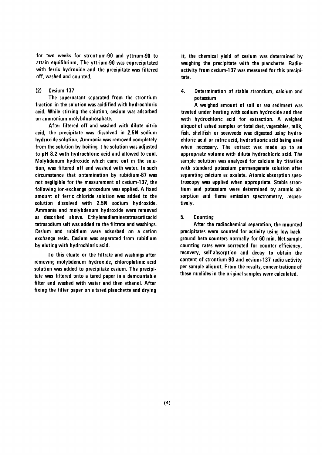for two weeks for strontium-90 and yttrium-90 to attain equilibrium. The yttrium-90 was coprecipitated with ferric hydroxide and the precipitate was filtered off, washed and counted.

#### $(2)$ Cesium-137

The supernatant separated from the strontium fraction in the solution was acidified with hydrochloric acid. While stirring the solution, cesium was adsorbed on ammonium molvbdophosphate.

After filtered off and washed with dilute nitric acid, the precipitate was dissolved in 2.5N sodium hydroxide solution. Ammonia was removed completely from the solution by boiling. The solution was adjusted to pH 8.2 with hydrochloric acid and allowed to cool. Molybdenum hydroxide which came out in the solution, was filtered off and washed with water. In such circumstance that ontamination by rubidium-87 was not negligible for the measurement of cesium-137, the following ion-exchange procedure was applied. A fixed amount of ferric chloride solution was added to the solution dissolved with 2.5N sodium hydroxide. Ammonia and molybdenum hydroxide were removed as described above. Ethylenediaminetetraaceticacid tetrasodium salt was added to the filtrate and washings. Cesium and rubidium were adsorbed on a cation exchange resin. Cesium was separated from rubidium by eluting with hydrochloric acid.

To this eluate or the filtrate and washings after removing molybdenum hydroxide, chloroplatinic acid solution was added to precipitate cesium. The precipitate was filtered onto a tared paper in a demountable filter and washed with water and then ethanol. After fixing the filter paper on a tared planchette and drying it, the chemical yield of cesium was determined by weighing the precipitate with the planchette. Radioactivity from cesium-137 was measured for this precipitate.

4. Determination of stable strontium, calcium and potassium

A weighed amount of soil or sea sediment was treated under heating with sodium hydroxide and then with hydrochloric acid for extraction. A weighed aliquot of ashed samples of total diet, vegetables, milk, fish, shellfish or seeweeds was digested using hydrochloric acid or nitric acid, hydrofluoric acid being used when necessary. The extract was made up to an appropriate volume with dilute hydrochloric acid. The sample solution was analyzed for calcium by titration with standard potassium permanganate solution after separating calcium as oxalate. Atomic absorption spectroscopy was applied when appropriate. Stable strontium and potassium were determined by atomic absorption and flame emission spectrometry, respectively.

5. **Counting** 

After the radiochemical separation, the mounted precipitates were counted for activity using low background beta counters normally for 60 min. Net sample counting rates were corrected for counter efficiency, recovery, self-absorption and decay to obtain the content of strontium-90 and cesium-137 radio activity per sample aliquot. From the results, concentrations of these nuclides in the original samples were calculated.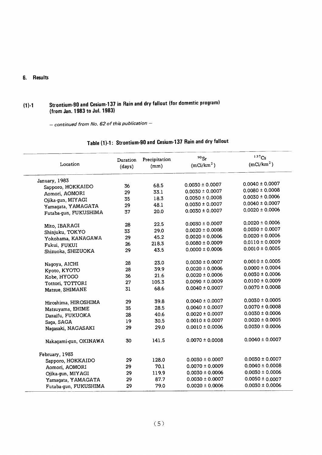# 6. Results

# (1)-1 Strontium-90 and Cesium-137 in Rain and dry fanout (for domestic p (from Jan. 1983 to Jul. 19

 $-$  continued from No. 62 of this publication  $-$ 

| Table (1)-1: Strontium-90 and Cesium-137 Rain and dry falloux |  |
|---------------------------------------------------------------|--|
|---------------------------------------------------------------|--|

 $\overline{\phantom{a}}$ 

| Location              | Duration<br>(days) | Precipitation<br>(mm) | $90$ Sr<br>(mCi/km <sup>2</sup> ) | $137$ Cs<br>(mCi/km <sup>2</sup> ) |
|-----------------------|--------------------|-----------------------|-----------------------------------|------------------------------------|
| January, 1983         |                    |                       |                                   |                                    |
| Sapporo, HOKKAIDO     | 36                 | 68.5                  | $0.0030 \pm 0.0007$               | $0.0040 \pm 0.0007$                |
| Aomori, AOMORI        | 29                 | 33.1                  | $0.0030 \pm 0.0007$               | $0.0080 \pm 0.0008$                |
| Ojika-gun, MIYAGI     | 35                 | 18.3                  | $0.0050 \pm 0.0008$               | $0.0030 \pm 0.0006$                |
| Yamagata, YAMAGATA    | 29                 | 48.1                  | $0.0030 \pm 0.0007$               | $0.0040 \pm 0.0007$                |
| Futaba-gun, FUKUSHIMA | 37                 | 20.0                  | $0.0030 \pm 0.0007$               | $0.0020 \pm 0.0006$                |
| Mito, IBARAGI         | 28                 | 22.5                  | $0.0030 \pm 0.0007$               | $0.0020 \pm 0.0006$                |
| Shinjuku, TOKYO       | 33                 | 29.0                  | $0.0020 \pm 0.0008$               | $0.0030 \pm 0.0007$                |
| Yokohama, KANAGAWA    | 29                 | 45.2                  | $0.0020 \pm 0.0006$               | $0.0020 \pm 0.0006$                |
| Fukui, FUKUI          | 26                 | 218.3                 | $0.0080 \pm 0.0009$               | $0.0110 \pm 0.0009$                |
| Shizuoka, SHIZUOKA    | 29                 | 43.5                  | $0.0000 \pm 0.0006$               | $0.0010 \pm 0.0005$                |
| Nagoya, AICHI         | 28                 | 23.0                  | $0.0030 \pm 0.0007$               | $0.0010 \pm 0.0005$                |
| Kyoto, KYOTO          | 28                 | 39.9                  | $0.0020 \pm 0.0006$               | $0.0000 \pm 0.0004$                |
| Kobe, HYOGO           | 36                 | 21.6                  | $0.0020 \pm 0.0006$               | $0.0030 \pm 0.0006$                |
| Tottori, TOTTORI      | 27                 | 105.3                 | $0.0090 \pm 0.0009$               | $0.0100 \pm 0.0009$                |
| Matsue, SHIMANE       | 31                 | 68.6                  | $0.0040 \pm 0.0007$               | $0.0070 \pm 0.0008$                |
| Hiroshima, HIROSHIMA  | 29                 | 39.8                  | $0.0040 \pm 0.0007$               | $0.0030 \pm 0.0005$                |
| Matsuyama, EHIME      | 35                 | 28.5                  | $0.0040 \pm 0.0007$               | $0.0070 \pm 0.0008$                |
| Dazaifu, FUKUOKA      | 28                 | 40.6                  | $0.0020 \pm 0.0007$               | $0.0030 \pm 0.0006$                |
| Saga, SAGA            | 19                 | 30.5                  | $0.0010 \pm 0.0007$               | $0.0020 \pm 0.0005$                |
| Nagasaki, NAGASAKI    | 29                 | 29.0                  | $0.0010 \pm 0.0006$               | $0.0030 \pm 0.0006$                |
| Nakagami-gun, OKINAWA | 30                 | 141.5                 | $0.0070 \pm 0.0008$               | $0.0040 \pm 0.0007$                |
| February, 1983        |                    |                       |                                   |                                    |
| Sapporo, HOKKAIDO     | 29                 | 128.0                 | $0.0030 \pm 0.0007$               | $0.0030 \pm 0.0007$                |
| Aomori, AOMORI        | 29                 | 70.1                  | $0.0070 \pm 0.0009$               | $0.0040 \pm 0.0008$                |
| Ojika-gun, MIYAGI     | 29                 | 119.9                 | $0.0030 \pm 0.0006$               | $0.0030 \pm 0.0006$                |
| Yamagata, YAMAGATA    | 29                 | 87.7                  | $0.0030 \pm 0.0007$               | $0.0050 \pm 0.0007$                |
| Futaba-qun, FUKUSHIMA | 29                 | 79.0                  | $0.0020 \pm 0.0006$               | $0.0030 \pm 0.0006$                |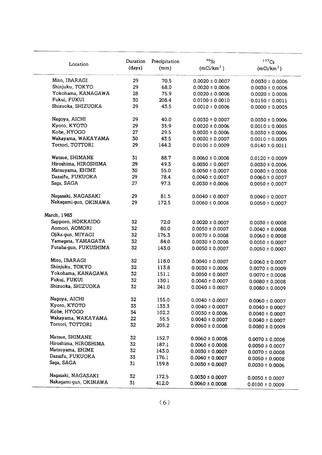| Location              | Duration<br>(days) | Precipitation<br>(mm) | $^{90}\rm{Sr}$<br>(mCi/km <sup>2</sup> ) | 137Cs<br>(mCi/km <sup>2</sup> ) |
|-----------------------|--------------------|-----------------------|------------------------------------------|---------------------------------|
| Mito, IBARAGI         | 29                 | 70.5                  | $0.0020 \pm 0.0007$                      | $0.0030 \pm 0.0006$             |
| Shinjuku, TOKYO       | 29                 | 68.0                  | $0.0020 \pm 0.0006$                      | $0.0030 \pm 0.0006$             |
| Yokohama, KANAGAWA    | 28                 | 75.9                  | $0.0020 \pm 0.0006$                      | $0.0020 \pm 0.0006$             |
| Fukui, FUKUI          | 30                 | 208.4                 | $0.0100 \pm 0.0010$                      | $0.0150 \pm 0.0011$             |
| Shizuoka, SHIZUOKA    | 29                 | 43.5                  | $0.0010 \pm 0.0006$                      | $0.0000 \pm 0.0005$             |
| Nagoya, AICHI         | 29                 | 40.0                  | $0.0030 \pm 0.0007$                      | $0.0030 \pm 0.0006$             |
| Kyoto, KYOTO          | 29                 | 35.9                  | $0.0020 \pm 0.0006$                      | $0.0010 \pm 0.0005$             |
| Kobe, HYOGO           | 27                 | 29.5                  | $0.0020 \pm 0.0006$                      | $0.0030 \pm 0.0006$             |
| Wakayama, WAKAYAMA    | 30                 | 43.5                  | $0.0020 \pm 0.0007$                      | $0.0010 \pm 0.0005$             |
| Tottori, TOTTORI      | 29                 | 144.2                 | $0.0100 \pm 0.0009$                      | $0.0140 \pm 0.0011$             |
| Watsue, SHIMANE       | 31                 | 88.7                  | $0.0060 \pm 0.0008$                      | $0.0120 \pm 0.0009$             |
| Hiroshima, HIROSHIMA  | 29                 | 49.3                  | $0.0030 \pm 0.0007$                      | $0.0030 \pm 0.0006$             |
| Matsuyama, EHIME      | 30                 | 55.0                  | $0.0050 \pm 0.0007$                      | $0.0080 \pm 0.0008$             |
| Dazaifu, FUKUOKA      | 29                 | 78.4                  | $0.0040 \pm 0.0007$                      | $0.0060 \pm 0.0007$             |
| Saga, SAGA            | 27                 | 97.3                  | $0.0030 \pm 0.0006$                      | $0.0050 \pm 0.0007$             |
| Nagasaki, NAGASAKI    | 29                 | 81.5                  | $0.0040 \pm 0.0007$                      | $0.0040 \pm 0.0007$             |
| Nakagami-gun, OKINAWA | 29                 | 172.5                 | $0.0060 \pm 0.0008$                      | $0.0050 \pm 0.0007$             |
| March, 1983           |                    |                       |                                          |                                 |
| Sapporo, HOKKAIDO     | 32                 | 72.0                  | $0.0020 \pm 0.0007$                      | $0.0030 \pm 0.0008$             |
| Aomori, AOMORI        | 32                 | 80.0                  | $0.0050 \pm 0.0007$                      | $0.0040 \pm 0.0008$             |
| Ojika-gun, MIYAGI     | 32                 | 176.3                 | $0.0070 \pm 0.0008$                      | $0.0060 \pm 0.0008$             |
| Yamagata, YAMAGATA    | 32                 | 84.0                  | $0.0030 \pm 0.0008$                      | $0.0050 \pm 0.0007$             |
| Futaba-gun, FUKUSHIMA | 32                 | 143.0                 | $0.0050 \pm 0.0007$                      | $0.0050 \pm 0.0007$             |
| Mito, IBARAGI         | 32                 | 118.0                 | $0.0040 \pm 0.0007$                      | $0.0060 \pm 0.0007$             |
| Shinjuku, TOKYO       | 32                 | 113.8                 | $0.0030 \pm 0.0006$                      | $0.0070 \pm 0.0009$             |
| Yokohama, KANAGAWA    | 32                 | 151.1                 | $0.0050 \pm 0.0007$                      | $0.0070 \pm 0.0008$             |
| Fukui, FUKUI          | 32                 | 130.1                 | $0.0040 \pm 0.0007$                      | $0.0080 \pm 0.0008$             |
| Shizuoka, SHIZUOKA    | 32                 | 241.0                 | $0.0040 \pm 0.0007$                      | $0.0080 \pm 0.0009$             |
| Nagoya, AICHI         | 32                 | 155.0                 | $0.0040 \pm 0.0007$                      | $0.0060 \pm 0.0007$             |
| Kyoto, KYOTO          | 33                 | 133.3                 | $0.0040 \pm 0.0007$                      | $0.0040 \pm 0.0007$             |
| Kobe, HYOGO           | 34                 | 102.2                 | $0.0030 \pm 0.0006$                      | $0.0040 \pm 0.0007$             |
| Wakayama, WAKAYAMA    | 22                 | 55.5                  | $0.0040 \pm 0.0007$                      | $0.0040 \pm 0.0007$             |
| Tottori, TOTTORI      | 32                 | 205.2                 | $0.0060 \pm 0.0008$                      | $0.0080 \pm 0.0009$             |
| Matsue, SHIMANE       | 32                 | 152.7                 | $0.0060 \pm 0.0008$                      | $0.0070 \pm 0.0008$             |
| Hiroshima, HIROSHIMA  | 32                 | 187.1                 | $0.0060 \pm 0.0008$                      | $0.0050 \pm 0.0007$             |
| Matsuyama, EHIME      | 32                 | 143.0                 | $0.0030 \pm 0.0007$                      | $0.0070 \pm 0.0008$             |
| Dazaifu, FUKUOKA      | 33                 | 176.1                 | $0.0040 \pm 0.0007$                      | $0.0050 \pm 0.0008$             |
| Saga, SAGA            | 31                 | 159.8                 | $0.0030 \pm 0.0007$                      | $0.0030 \pm 0.0006$             |
| Nagasaki, NAGASAKI    | 32                 | 172.5                 | $0.0030 \pm 0.0007$                      | $0.0050 \pm 0.0007$             |
| Nakagami-gun, OKINAWA | 31                 | 412.0                 | $0.0060 \pm 0.0008$                      | $0.0100 \pm 0.0009$             |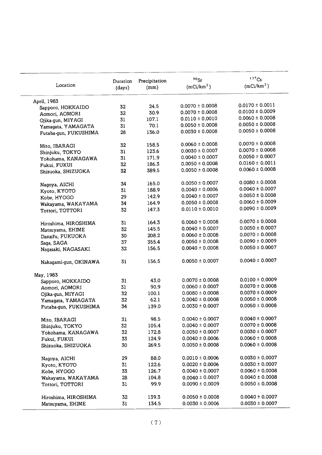| Location              | Duration | Precipitation | $90$ Sr                | 137Cs<br>(mCi/km <sup>2</sup> ) |
|-----------------------|----------|---------------|------------------------|---------------------------------|
|                       | (days)   | (mm)          | (mCi/km <sup>2</sup> ) |                                 |
| April, 1983           |          |               |                        |                                 |
| Sapporo, HOKKAIDO     | 32       | 24.5          | $0.0070 \pm 0.0008$    | $0.0170 \pm 0.0011$             |
| Aomori, AOMORI        | 32       | 30.9          | $0.0070 \pm 0.0008$    | $0.0100 \pm 0.0009$             |
| Ojika-gun, MIYAGI     | 31       | 107.1         | $0.0110 \pm 0.0010$    | $0.0060 \pm 0.0008$             |
| Yamagata, YAMAGATA    | 31       | 70.1          | $0.0050 \pm 0.0008$    | $0.0050 \pm 0.0008$             |
| Futaba-gun, FUKUSHIMA | 28       | 136.0         | $0.0030 \pm 0.0008$    | $0.0050 \pm 0.0008$             |
| Mito, IBARAGI         | 32       | 158.5         | $0.0060 \pm 0.0008$    | $0.0070 \pm 0.0008$             |
| Shinjuku, TOKYO       | 31       | 123.6         | $0.0030 \pm 0.0007$    | $0.0070 \pm 0.0008$             |
| Yokohama, KANAGAWA    | 31       | 171.9         | $0.0040 \pm 0.0007$    | $0.0050 \pm 0.0007$             |
| Fukui, FUKUI          | 32       | 186.3         | $0.0050 \pm 0.0008$    | $0.0160 \pm 0.0011$             |
| Shizuoka, SHIZUOKA    | 32       | 389.5         | $0.0050 \pm 0.0008$    | $0.0060 \pm 0.0008$             |
| Nagoya, AICHI         | 34       | 165.0         | $0.0050 \pm 0.0007$    | $0.0080 \pm 0.0008$             |
| Kyoto, KYOTO          | 31       | 188.9         | $0.0040 \pm 0.0006$    | $0.0040 \pm 0.0007$             |
| Kobe, HYOGO           | 29       | 142.9         | $0.0040 \pm 0.0007$    | $0.0050 \pm 0.0008$             |
| Wakayama, WAKAYAMA    | 34       | 164.9         | $0.0050 \pm 0.0008$    | $0.0060 \pm 0.0009$             |
| Tottori, TOTTORI      | 32       | 147.3         | $0.0110 \pm 0.0010$    | $0.0090 \pm 0.0009$             |
| Hiroshima, HIROSHIMA  | 31       | 164.3         | $0.0060 \pm 0.0008$    | $0.0070 \pm 0.0008$             |
| Matsuyama, EHIME      | 32       | 145.5         | $0.0040 \pm 0.0007$    | $0.0050 \pm 0.0007$             |
| Dazaifu, FUKUOKA      | 30       | 208.2         | $0.0060 \pm 0.0008$    | $0.0070 \pm 0.0008$             |
| Saga, SAGA            | 37       | 355.4         | $0.0050 \pm 0.0008$    | $0.0090 \pm 0.0009$             |
| Nagasaki, NAGASAKI    | 32       | 156.5         | $0.0040 \pm 0.0008$    | $0.0050 \pm 0.0007$             |
| Nakagami-gun, OKINAWA | 31       | 156.5         | $0.0050 \pm 0.0007$    | $0.0040 \pm 0.0007$             |
| May, 1983             |          |               |                        |                                 |
| Sapporo, HOKKAIDO     | 31       | 43.0          | $0.0070 \pm 0.0008$    | $0.0100 \pm 0.0009$             |
| Aomori, AOMORI        | 31       | 90.9          | $0.0060 \pm 0.0007$    | $0.0070 \pm 0.0008$             |
| Ojika-gun, MIYAGI     | 32       | 100.1         | $0.0080 \pm 0.0008$    | $0.0070 \pm 0.0009$             |
| Yamagata, YAMAGATA    | 32       | 62.1          | $0.0040 \pm 0.0008$    | $0.0050 \pm 0.0008$             |
| Futaba-gun, FUKUSHIMA | 34       | 139.0         | $0.0030 \pm 0.0007$    | $0.0050 \pm 0.0008$             |
| Mito, IBARAGI         | 31       | 98.5          | $0.0040 \pm 0.0007$    | $0.0040 \pm 0.0007$             |
| Shinjuku, TOKYO       | 32       | 105.4         | $0.0040 \pm 0.0007$    | $0.0070 \pm 0.0008$             |
| Yokohama, KANAGAWA    | 32       | 172.8         | $0.0050 \pm 0.0007$    | $0.0030 \pm 0.0007$             |
| Fukui, FUKUI          | 33       | 124.9         | $0.0040 \pm 0.0006$    | $0.0060 \pm 0.0008$             |
| Shizuoka, SHIZUOKA    | 30       | 269.5         | $0.0050 \pm 0.0008$    | $0.0060 \pm 0.0008$             |
| Nagoya, AICHI         | 29       | 88.0          | $0.0010 \pm 0.0006$    | $0.0030 \pm 0.0007$             |
| Kyoto, KYOTO          | 31       | 122.6         | $0.0020 \pm 0.0006$    | $0.0030 \pm 0.0007$             |
| Kobe, HYOGO           | 33       | 126.7         | $0.0040 \pm 0.0007$    | $0.0060 \pm 0.0008$             |
| Wakayama, WAKAYAMA    | 28       | 104.8         | $0.0040 \pm 0.0007$    | $0.0040 \pm 0.0008$             |
| Tottori, TOTTORI      | 31       | 99.9          | $0.0090 \pm 0.0009$    | $0.0050 \pm 0.0008$             |
| Hiroshima, HIROSHIMA  | 32       | 139.3         | $0.0050 \pm 0.0008$    | $0.0040 \pm 0.0007$             |
| Matsuyama, EHIME      | 31       | 134.5         | $0.0030 \pm 0.0006$    | $0.0030 \pm 0.0007$             |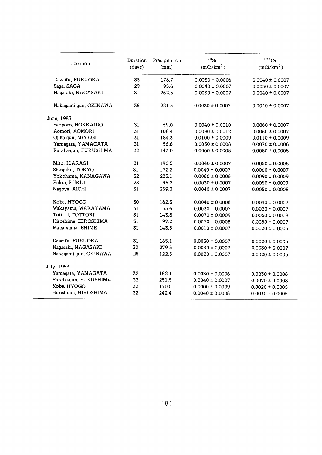| Location              | Duration<br>(days) | Precipitation<br>(mm) | $90$ Sr<br>(mCi/km <sup>2</sup> ) | 137Cs<br>(mCi/km <sup>2</sup> ) |
|-----------------------|--------------------|-----------------------|-----------------------------------|---------------------------------|
| Dazaifu, FUKUOKA      | 33                 | 178.7                 | $0.0030 \pm 0.0006$               | $0.0040 \pm 0.0007$             |
| Saga, SAGA            | 29                 | 95.6                  | $0.0040 \pm 0.0007$               | $0.0030 \pm 0.0007$             |
| Nagasaki, NAGASAKI    | 31                 | 262.5                 | $0.0030 \pm 0.0007$               | $0.0040 \pm 0.0007$             |
| Nakagami-gun, OKINAWA | 36                 | 221.5                 | $0.0030 \pm 0.0007$               | $0.0040 \pm 0.0007$             |
| June, 1983            |                    |                       |                                   |                                 |
| Sapporo, HOKKAIDO     | 31                 | 59.0                  | $0.0040 \pm 0.0010$               | $0.0060 \pm 0.0007$             |
| Aomori, AOMORI        | 31                 | 108.4                 | $0.0090 \pm 0.0012$               | $0.0060 \pm 0.0007$             |
| Ojika-gun, MIYAGI     | 31                 | 184.3                 | $0.0100 \pm 0.0009$               | $0.0110 \pm 0.0009$             |
| Yamagata, YAMAGATA    | 31                 | 56.6                  | $0.0050 \pm 0.0008$               | $0.0070 \pm 0.0008$             |
| Futaba-gun, FUKUSHIMA | 32                 | 143.0                 | $0.0060 \pm 0.0008$               | $0.0080 \pm 0.0008$             |
| Mito, IBARAGI         | 31                 | 190.5                 | $0.0040 \pm 0.0007$               | $0.0050 \pm 0.0008$             |
| Shinjuku, TOKYO       | 31                 | 172.2                 | $0.0040 \pm 0.0007$               | $0.0060 \pm 0.0007$             |
| Yokohama, KANAGAWA    | 32                 | 225.1                 | $0.0060 \pm 0.0008$               | $0.0090 \pm 0.0009$             |
| Fukui, FUKUI          | 28                 | 95.2                  | $0.0030 \pm 0.0007$               | $0.0050 \pm 0.0007$             |
| Nagoya, AICHI         | 31                 | 259.0                 | $0.0040 \pm 0.0007$               | $0.0050 \pm 0.0008$             |
| Kobe, HYOGO           | 30                 | 182.3                 | $0.0040 \pm 0.0008$               | $0.0040 \pm 0.0007$             |
| Wakayama, WAKAYAMA    | 31                 | 155.6                 | $0.0030 \pm 0.0007$               | $0.0020 \pm 0.0007$             |
| Tottori, TOTTORI      | 31                 | 143.8                 | $0.0070 \pm 0.0009$               | $0.0050 \pm 0.0008$             |
| Hiroshima, HIROSHIMA  | 31                 | 197.2                 | $0.0070 \pm 0.0008$               | $0.0050 \pm 0.0007$             |
| Matsuyama, EHIME      | 31                 | 143.5                 | $0.0010 \pm 0.0007$               | $0.0020 \pm 0.0005$             |
| Dazaifu, FUKUOKA      | 31                 | 165.1                 | $0.0030 \pm 0.0007$               | $0.0020 \pm 0.0005$             |
| Nagasaki, NAGASAKI    | 30                 | 279.5                 | $0.0030 \pm 0.0007$               | $0.0030 \pm 0.0007$             |
| Nakagami-qun, OKINAWA | 25                 | 122.5                 | $0.0020 \pm 0.0007$               | $0.0020 \pm 0.0005$             |
| July, 1983            |                    |                       |                                   |                                 |
| Yamagata, YAMAGATA    | 32                 | 162.1                 | $0.0030 \pm 0.0006$               | $0.0030 \pm 0.0006$             |
| Futaba-gun, FUKUSHIMA | 32                 | 251.5                 | $0.0040 \pm 0.0007$               | $0.0070 \pm 0.0008$             |
| Kobe, HYOGO           | 32                 | 170.5                 | $0.0000 \pm 0.0009$               | $0.0020 \pm 0.0005$             |
| Hiroshima, HIROSHIMA  | 32                 | 242.4                 | $0.0040 \pm 0.0008$               | $0.0010 \pm 0.0005$             |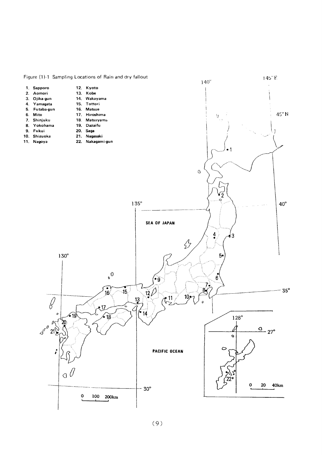

 $(9)$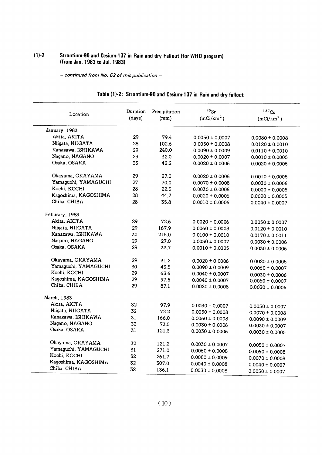# (1)-2 Strontium-90 and Cesium-137 in Rain and dry Fallout (for WHO (from Jan. 1983 to Jul. 19

- continued from No. 62 of this publication -

| Location             | Duration | Precipitation | $90$ Sr                | 137C <sub>S</sub>      |
|----------------------|----------|---------------|------------------------|------------------------|
|                      | (days)   | (mm)          | (mCi/km <sup>2</sup> ) | (mCi/km <sup>2</sup> ) |
| January, 1983        |          |               |                        |                        |
| Akita, AKITA         | 29       | 79.4          | $0.0050 \pm 0.0007$    | $0.0080 \pm 0.0008$    |
| Niigata, NIIGATA     | 28       | 102.6         | $0.0050 \pm 0.0008$    | $0.0120 \pm 0.0010$    |
| Kanazawa, ISHIKAWA   | 29       | 240.0         | $0.0090 \pm 0.0009$    | $0.0110 \pm 0.0010$    |
| Nagano, NAGANO       | 29       | 32.0          | $0.0020 \pm 0.0007$    | $0.0010 \pm 0.0005$    |
| Osaka, OSAKA         | 33       | 42.2          | $0.0020 \pm 0.0006$    | $0.0020 \pm 0.0005$    |
| Okayama, OKAYAMA     | 29       | 27.0          | $0.0020 \pm 0.0006$    | $0.0010 \pm 0.0005$    |
| Yamaguchi, YAMAGUCHI | 27       | 70.0          | $0.0070 \pm 0.0008$    | $0.0030 \pm 0.0006$    |
| Kochi, KOCHI         | 28       | 22,5          | $0.0030 \pm 0.0006$    | $0.0000 \pm 0.0005$    |
| Kagoshima, KAGOSHIMA | 28       | 44.7          | $0.0020 \pm 0.0006$    | $0.0020 \pm 0.0005$    |
| Chiba, CHIBA         | 28       | 35.8          | $0.0010 \pm 0.0006$    | $0.0040 \pm 0.0007$    |
| Feburary, 1983       |          |               |                        |                        |
| Akita, AKITA         | 29       | 72.6          | $0.0020 \pm 0.0006$    | $0.0050 \pm 0.0007$    |
| Niigata, NIIGATA     | 29       | 167.9         | $0.0060 \pm 0.0008$    | $0.0120 \pm 0.0010$    |
| Kanazawa, ISHIKAWA   | 30       | 215.0         | $0.0100 \pm 0.0010$    | $0.0170 \pm 0.0011$    |
| Nagano, NAGANO       | 29       | 27.0          | $0.0030 \pm 0.0007$    | $0.0030 \pm 0.0006$    |
| Osaka, OSAKA         | 29       | 33.7          | $0.0010 \pm 0.0005$    | $0.0030 \pm 0.0006$    |
| Okayama, OKAYAMA     | 29       | 31.2          | $0.0020 \pm 0.0006$    | $0.0020 \pm 0.0005$    |
| Yamaguchi, YAMAGUCHI | 30       | 43.5          | $0.0090 \pm 0.0009$    | $0.0060 \pm 0.0007$    |
| Kochi, KOCHI         | 29       | 63.6          | $0.0040 \pm 0.0007$    | $0.0030 \pm 0.0006$    |
| Kagoshima, KAGOSHIMA | 29       | 97.5          | $0.0040 \pm 0.0007$    | $0.0060 \pm 0.0007$    |
| Chiba, CHIBA         | 29       | 87.1          | $0.0020 \pm 0.0008$    | $0.0030 \pm 0.0005$    |
| March, 1983          |          |               |                        |                        |
| Akita, AKITA         | 32       | 97.9          | $0.0030 \pm 0.0007$    | $0.0050 \pm 0.0007$    |
| Niigata, NIIGATA     | 32       | 72.2          | $0.0050 \pm 0.0008$    | $0.0070 \pm 0.0008$    |
| Kanazawa, ISHIKAWA   | 31       | 166.0         | $0.0060 \pm 0.0008$    | $0.0090 \pm 0.0009$    |
| Nagano, NAGANO       | 32       | 73.5          | $0.0030 \pm 0.0006$    | $0.0030 \pm 0.0007$    |
| Osaka, OSAKA         | 31       | 121.3         | $0.0030 \pm 0.0006$    | $0.0030 \pm 0.0005$    |
| Okayama, OKAYAMA     | 32       | 121.2         | $0.0030 \pm 0.0007$    | $0.0050 \pm 0.0007$    |
| Yamaguchi, YAMAGUCHI | 31       | 271.0         | $0.0060 \pm 0.0008$    | $0.0060 \pm 0.0008$    |
| Kochi, KOCHI         | 32       | 261.7         | $0.0080 \pm 0.0009$    | $0.0070 \pm 0.0008$    |
| Kagoshima, KAGOSHIMA | 32       | 307.0         | $0.0040 \pm 0.0008$    | $0.0040 \pm 0.0007$    |
| Chiba, CHIBA         | 32       | 136.1         | $0.0030 \pm 0.0008$    | $0.0050 \pm 0.0007$    |

# Table (1)-2: Strontium-90 and Cesium-137 in Rain and dry fallout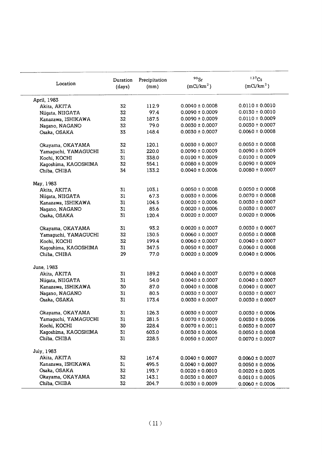| Location             | Duration<br>(days) | Precipitation<br>(mm) | $90$ Sr<br>(mCi/km <sup>2</sup> ) | $137C_S$<br>(mCi/km <sup>2</sup> ) |
|----------------------|--------------------|-----------------------|-----------------------------------|------------------------------------|
|                      |                    |                       |                                   |                                    |
| April, 1983          |                    |                       | $0.0040 \pm 0.0008$               | $0.0110 \pm 0.0010$                |
| Akita, AKITA         | 32                 | 112.9                 |                                   | $0.0130 \pm 0.0010$                |
| Niigata, NIIGATA     | 32                 | 97.4                  | $0.0090 \pm 0.0009$               |                                    |
| Kanazawa, ISHIKAWA   | 32                 | 187.5                 | $0.0090 \pm 0.0009$               | $0.0110 \pm 0.0009$                |
| Nagano, NAGANO       | 32                 | 79.0                  | $0.0030 \pm 0.0007$               | $0.0030 \pm 0.0007$                |
| Osaka, OSAKA         | 33                 | 148.4                 | $0.0030 \pm 0.0007$               | $0.0060 \pm 0.0008$                |
| Okayama, OKAYAMA     | 32                 | 120.1                 | $0.0030 \pm 0.0007$               | $0.0050 \pm 0.0008$                |
| Yamaguchi, YAMAGUCHI | 31                 | 220.0                 | $0.0090 \pm 0.0009$               | $0.0090 \pm 0.0009$                |
| Kochi, KOCHI         | 31                 | 338.0                 | $0.0100 \pm 0.0009$               | $0.0100 \pm 0.0009$                |
| Kagoshima, KAGOSHIMA | 32                 | 554.1                 | $0.0080 \pm 0.0009$               | $0.0090 \pm 0.0009$                |
| Chiba, CHIBA         | 34                 | 133.2                 | $0.0040 \pm 0.0006$               | $0.0080 \pm 0.0007$                |
| May, 1983            |                    |                       |                                   |                                    |
| Akita, AKITA         | 31                 | 103.1                 | $0.0050 \pm 0.0008$               | $0.0050 \pm 0.0008$                |
| Niigata, NIIGATA     | 31                 | 67.3                  | $0.0030 \pm 0.0006$               | $0.0070 \pm 0.0008$                |
| Kanazawa, ISHIKAWA   | 31                 | 104.5                 | $0.0020 \pm 0.0006$               | $0.0030 \pm 0.0007$                |
| Nagano, NAGANO       | 31                 | 85.6                  | $0.0020 \pm 0.0006$               | $0.0030 \pm 0.0007$                |
| Osaka, OSAKA         | 31                 | 120.4                 | $0.0020 \pm 0.0007$               | $0.0020 \pm 0.0006$                |
| Okayama, OKAYAMA     | 31                 | 93.2                  | $0.0020 \pm 0.0007$               | $0.0030 \pm 0.0007$                |
| Yamaguchi, YAMAGUCHI | 32                 | 130.5                 | $0.0060 \pm 0.0007$               | $0.0050 \pm 0.0008$                |
| Kochi, KOCHI         | 32                 | 199.4                 | $0.0060 \pm 0.0007$               | $0.0040 \pm 0.0007$                |
| Kagoshima, KAGOSHIMA | 31                 | 347.5                 | $0.0050 \pm 0.0007$               | $0.0060 \pm 0.0008$                |
| Chiba, CHIBA         | 29                 | 77.0                  | $0.0020 \pm 0.0009$               | $0.0040 \pm 0.0006$                |
| June, 1983           |                    |                       |                                   |                                    |
| Akita, AKITA         | 31                 | 189.2                 | $0.0040 \pm 0.0007$               | $0.0070 \pm 0.0008$                |
| Niigata, NIIGATA     | 31                 | 54.0                  | $0.0040 \pm 0.0007$               | $0.0040 \pm 0.0007$                |
| Kanazawa, ISHIKAWA   | 30                 | 87.0                  | $0.0040 \pm 0.0008$               | $0.0040 \pm 0.0007$                |
| Nagano, NAGANO       | 31                 | 80.5                  | $0.0030 \pm 0.0007$               | $0.0030 \pm 0.0007$                |
| Osaka, OSAKA         | 31                 | 173.4                 | $0.0030 \pm 0.0007$               | $0.0030 \pm 0.0007$                |
| Okayama, OKAYAMA     | 31                 | 126.3                 | $0.0030 \pm 0.0007$               | $0.0030 \pm 0.0006$                |
| Yamaguchi, YAMAGUCHI | 31                 | 281.5                 | $0.0070 \pm 0.0009$               | $0.0030 \pm 0.0006$                |
| Kochi, KOCHI         | 30                 | 228.4                 | $0.0070 \pm 0.0011$               | $0.0030 \pm 0.0007$                |
| Kagoshima, KAGOSHIMA | 31                 | 603.0                 | $0.0030 \pm 0.0006$               | $0.0050 \pm 0.0008$                |
| Chiba, CHIBA         | 31                 | 228.5                 | $0.0050 \pm 0.0007$               | $0.0070 \pm 0.0007$                |
| July, 1983           |                    |                       |                                   |                                    |
| Akita, AKITA         | 32                 | 167.4                 | $0.0040 \pm 0.0007$               | $0.0060 \pm 0.0007$                |
| Kanazawa, ISHIKAWA   | 31                 | 495.5                 | $0.0040 \pm 0.0007$               | $0.0050 \pm 0.0006$                |
| Osaka, OSAKA         | 32                 | 193.7                 | $0.0020 \pm 0.0010$               | $0.0020 \pm 0.0005$                |
| Okayama, OKAYAMA     | 32                 | 143.1                 | $0.0030 \pm 0.0007$               | $0.0010 \pm 0.0005$                |
| Chiba, CHIBA         | 32                 | 204.7                 | $0.0030 \pm 0.0009$               | $0.0060 \pm 0.0006$                |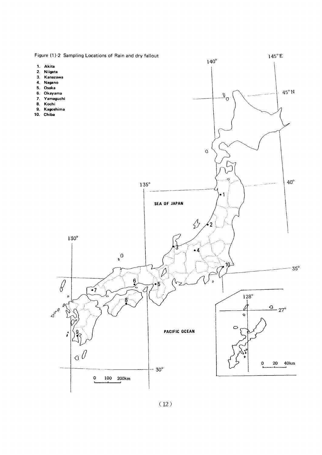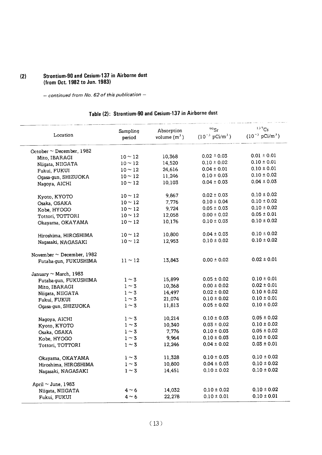# (2) Strontium-90 and Cesium-137 in Airborne dust (from Oct. 1982 to Jun. 1983)

- continued from No. 62 of this publication -

# Table (2): Strontium-90 and Cesium-137 in Airborne dust

| Location                       | Sampling<br>period | Absorption<br>volume $(m^3)$ | $90$ Sr<br>$(10^{-3} \text{ pCi/m}^3)$ | 137Cs<br>$(10^{-3} \text{ pCi/m}^3)$ |
|--------------------------------|--------------------|------------------------------|----------------------------------------|--------------------------------------|
| October $\sim$ December, 1982  |                    |                              |                                        |                                      |
| Mito, IBARAGI                  | $10 \sim 12$       | 10,368                       | $0.02 \pm 0.03$                        | $0.01 \pm 0.01$                      |
| Niigata, NIIGATA               | $10 \sim 12$       | 14,520                       | $0.10 \pm 0.02$                        | $0.10 \pm 0.01$                      |
| Fukui, FUKUI                   | $10 \sim 12$       | 24,616                       | $0.04 \pm 0.01$                        | $0.10 \pm 0.01$                      |
| Ogasa-gun, SHIZUOKA            | $10 - 12$          | 11,246                       | $0.10 \pm 0.03$                        | $0.10 \pm 0.02$                      |
| Nagoya, AICHI                  | $10 - 12$          | 10,103                       | $0.04 \pm 0.03$                        | $0.04 \pm 0.03$                      |
| Kyoto, KYOTO                   | $10 \sim 12$       | 9,867                        | $0.02 \pm 0.03$                        | $0.10 \pm 0.02$                      |
| Osaka, OSAKA                   | $10 - 12$          | 7,776                        | $0.10 \pm 0.04$                        | $0.10 \pm 0.02$                      |
| Kobe, HYOGO                    | $10 - 12$          | 9,724                        | $0.05 \pm 0.03$                        | $0.10 \pm 0.02$                      |
| Tottori, TOTTORI               | $10 - 12$          | 12,058                       | $0.00 \pm 0.02$                        | $0.05 \pm 0.01$                      |
| Okayama, OKAYAMA               | $10 \sim 12$       | 10,176                       | $0.10 \pm 0.03$                        | $0.10 \pm 0.02$                      |
| Hiroshima, HIROSHIMA           | $10 \sim 12$       | 10,800                       | $0.04 \pm 0.03$                        | $0.10 \pm 0.02$                      |
| Nagasaki, NAGASAKI             | $10 \sim 12$       | 12,953                       | $0.10 \pm 0.02$                        | $0.10 \pm 0.02$                      |
| November $\sim$ December, 1982 |                    |                              |                                        |                                      |
| Futaba-gun, FUKUSHIMA          | $11 \sim 12$       | 13,843                       | $0.00 \pm 0.02$                        | $0.02 \pm 0.01$                      |
| January $\sim$ March, 1983     |                    |                              |                                        |                                      |
| Futaba-gun, FUKUSHIMA          | $1 \sim 3$         | 15,899                       | $0.05 \pm 0.02$                        | $0.10 \pm 0.01$                      |
| Mito, IBARAGI                  | $1 \sim 3$         | 10,368                       | $0.00 \pm 0.02$                        | $0.02 \pm 0.01$                      |
| Niigata, NIIGATA               | $1 \sim 3$         | 14,497                       | $0.02 \pm 0.02$                        | $0.10 \pm 0.02$                      |
| Fukui, FUKUI                   | $1 \sim 3$         | 21,074                       | $0.10 \pm 0.02$                        | $0.10 \pm 0.01$                      |
| Ogasa-gun, SHIZUOKA            | $1 \sim 3$         | 11,813                       | $0.05\pm0.02$                          | $0.10 \pm 0.02$                      |
| Nagoya, AICHI                  | $1 \sim 3$         | 10,214                       | $0.10 \pm 0.03$                        | $0.05 \pm 0.02$                      |
| Kyoto, KYOTO                   | $1 \sim 3$         | 10,340                       | $0.03 \pm 0.02$                        | $0.10 \pm 0.02$                      |
| Osaka, OSAKA                   | $1 \sim 3$         | 7,776                        | $0.10 \pm 0.03$                        | $0.05 \pm 0.02$                      |
| Kobe, HYOGO                    | $1 \sim 3$         | 9,964                        | $0.10 \pm 0.03$                        | $0.10 \pm 0.02$                      |
| Tottori, TOTTORI               | $1\sim 3$          | 12,246                       | $0.04 \pm 0.02$                        | $0.03 \pm 0.01$                      |
| Okayama, OKAYAMA               | $1 \sim 3$         | 11,328                       | $0.10 \pm 0.03$                        | $0.10 \pm 0.02$                      |
| Hiroshima, HIROSHIMA           | $1 \sim 3$         | 10,800                       | $0.04 \pm 0.03$                        | $0.10 \pm 0.02$                      |
| Nagasaki, NAGASAKI             | $1 \sim 3$         | 14,451                       | $0.10 \pm 0.02$                        | $0.10 \pm 0.02$                      |
| April $\sim$ June, 1983        |                    |                              |                                        |                                      |
| Niigata, NIIGATA               | $4 \sim 6$         | 14,032                       | $0.10 \pm 0.02$                        | $0.10 \pm 0.02$                      |
| Fukui, FUKUI                   | $4 \sim 6$         | 22,278                       | $0.10 \pm 0.01$                        | $0.10 \pm 0.01$                      |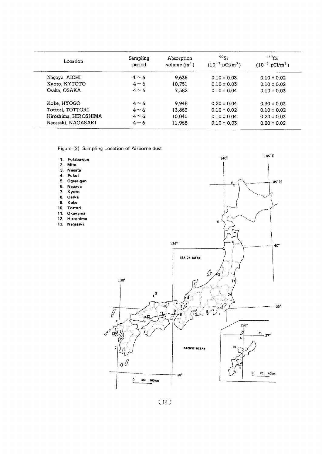| Location             | Sampling<br>period | Absorption<br>volume $(m^3)$ | $90$ Sr<br>$(10^{-3} \text{ pCi/m}^3)$ | $137$ Cs<br>$(10^{-3} \text{ pCi/m}^3)$ |
|----------------------|--------------------|------------------------------|----------------------------------------|-----------------------------------------|
| Nagoya, AICHI        | $4 \sim 6$         | 9.635                        | $0.10 \pm 0.03$                        | $0.10 \pm 0.02$                         |
| Kyoto, KYTOTO        | $4 \sim 6$         | 10.751                       | $0.10 \pm 0.03$                        | $0.10 \pm 0.02$                         |
| Osaka, OSAKA         | $4 \sim 6$         | 7,582                        | $0.10 \pm 0.04$                        | $0.10 \pm 0.03$                         |
| Kobe, HYOGO          | $4 \sim 6$         | 9,948                        | $0.20 \pm 0.04$                        | $0.30 \pm 0.03$                         |
| Tottori, TOTTORI     | $4 \sim 6$         | 13.863                       | $0.10 \pm 0.02$                        | $0.10 \pm 0.02$                         |
| Hiroshima, HIROSHIMA | $4 \sim 6$         | 10,040                       | $0.10 \pm 0.04$                        | $0.20 \pm 0.03$                         |
| Nagasaki, NAGASAKI   | $4 \sim 6$         | 11,968                       | $0.10 \pm 0.03$                        | $0.20 \pm 0.02$                         |

Figure (2) Sampling Location of Airborne dust

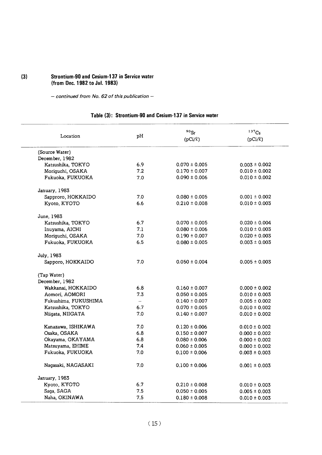# (3) Strontium-90 and Cesium-137 in Service water (fromDec.1982toJuI.1983)

- continued from No. 62 of this publication -

# Table (3): Strontium-90 and Cesium-137 in Service water

| Location             | рH                       | $90$ Sr<br>$(pCi/\ell)$ | $137C_S$<br>$(pCi/\ell)$ |  |
|----------------------|--------------------------|-------------------------|--------------------------|--|
| (Source Water)       |                          |                         |                          |  |
| December, 1982       |                          |                         |                          |  |
| Katsushika, TOKYO    | 6.9                      | $0.070 \pm 0.005$       | $0.003 \pm 0.002$        |  |
| Moriguchi, OSAKA     | 7.2                      | $0.170 \pm 0.007$       | $0.010 \pm 0.002$        |  |
| Fukuoka, FUKUOKA     | 7.0                      | $0.090 \pm 0.006$       | $0.010 \pm 0.002$        |  |
| January, 1983        |                          |                         |                          |  |
| Sapproro, HOKKAIDO   | 7.0                      | $0.080 \pm 0.005$       | $0.001 \pm 0.002$        |  |
| Kyoto, KYOTO         | 6.6                      | $0.210 \pm 0.008$       | $0.010 \pm 0.003$        |  |
| June, 1983           |                          |                         |                          |  |
| Katsushika, TOKYO    | 6.7                      | $0.070 \pm 0.005$       | $0.020 \pm 0.004$        |  |
| Inuyama, AICHI       | 7.1                      | $0.080 \pm 0.006$       | $0.010 \pm 0.003$        |  |
| Moriguchi, OSAKA     | 7.0                      | $0.190 \pm 0.007$       | $0.020 \pm 0.003$        |  |
| Fukuoka, FUKUOKA     | 6.5                      | $0.080 \pm 0.005$       | $0.003 \pm 0.003$        |  |
| July, 1983           |                          |                         |                          |  |
| Sapporo, HOKKAIDO    | 7.0                      | $0.050 \pm 0.004$       | $0.005 \pm 0.003$        |  |
| (Tap Water)          |                          |                         |                          |  |
| December, 1982       |                          |                         |                          |  |
| Wakkanai, HOKKAIDO   | 6.8                      | $0.160 \pm 0.007$       | $0.000 \pm 0.002$        |  |
| Aomori, AOMORI       | 7.3                      | $0.050 \pm 0.005$       | $0.010 \pm 0.003$        |  |
| Fukushima, FUKUSHIMA | $\overline{\phantom{a}}$ | $0.140 \pm 0.007$       | $0.005 \pm 0.002$        |  |
| Katsushika, TOKYO    | 6.7                      | $0.070 \pm 0.005$       | $0.010 \pm 0.002$        |  |
| Niigata, NIIGATA     | 7.0                      | $0.140 \pm 0.007$       | $0.010 \pm 0.002$        |  |
| Kanazawa, ISHIKAWA   | 7.0                      | $0.120 \pm 0.006$       | $0.010 \pm 0.002$        |  |
| Osaka, OSAKA         | 6.8                      | $0.150 \pm 0.007$       | $0.000 \pm 0.002$        |  |
| Okayama, OKAYAMA     | 6.8                      | $0.080 \pm 0.006$       | $0.000 \pm 0.002$        |  |
| Matsuyama, EHIME     | 7.4                      | $0.060 \pm 0.005$       | $0.000 \pm 0.002$        |  |
| Fukuoka, FUKUOKA     | 7.0                      | $0.100 \pm 0.006$       | $0.003 \pm 0.003$        |  |
| Nagasaki, NAGASAKI   | 7.0                      | $0.100 \pm 0.006$       | $0.001 \pm 0.003$        |  |
| January, 1983        |                          |                         |                          |  |
| Kyoto, KYOTO         | 6.7                      | $0.210 \pm 0.008$       | $0.010 \pm 0.003$        |  |
| Saga, SAGA           | 7.5                      | $0.050 \pm 0.005$       | $0.005 \pm 0.003$        |  |
| Naha, OKINAWA        | 7.5                      | $0.180 \pm 0.008$       | $0.010 \pm 0.003$        |  |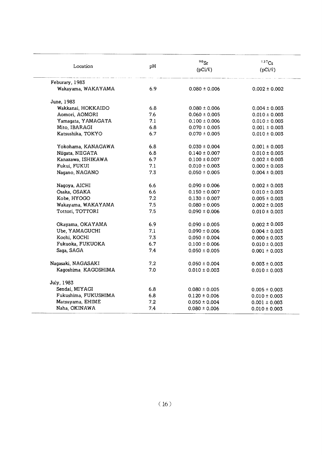| Location             | pH  | $90$ Sr<br>$(pCi/\ell)$ | 137C <sub>S</sub><br>$(pCi/\ell)$ |  |
|----------------------|-----|-------------------------|-----------------------------------|--|
| Feburary, 1983       |     |                         |                                   |  |
| Wakayama, WAKAYAMA   | 6.9 | $0.080 \pm 0.006$       | $0.002 \pm 0.002$                 |  |
| June, 1983           |     |                         |                                   |  |
| Wakkanai, HOKKAIDO   | 6.8 | $0.080 \pm 0.006$       | $0.004 \pm 0.003$                 |  |
| Aomori, AOMORI       | 7.6 | $0.060 \pm 0.005$       | $0.010 \pm 0.003$                 |  |
| Yamagata, YAMAGATA   | 7.1 | $0.100 \pm 0.006$       | $0.010 \pm 0.003$                 |  |
| Mito, IBARAGI        | 6.8 | $0.070 \pm 0.005$       | $0.001 \pm 0.003$                 |  |
| Katsushika, TOKYO    | 6.7 | $0.070 \pm 0.005$       | $0.010 \pm 0.003$                 |  |
| Yokohama, KANAGAWA   | 6.8 | $0.030 \pm 0.004$       | $0.001 \pm 0.003$                 |  |
| Niigata, NIIGATA     | 6.8 | $0.140 \pm 0.007$       | $0.010 \pm 0.003$                 |  |
| Kanazawa, ISHIKAWA   | 6.7 | $0.100 \pm 0.007$       | $0.002 \pm 0.003$                 |  |
| Fukui, FUKUI         | 7.1 | $0.010 \pm 0.003$       | $0.000 \pm 0.003$                 |  |
| Nagano, NAGANO       | 7.3 | $0.050 \pm 0.005$       | $0.004 \pm 0.003$                 |  |
| Nagoya, AICHI        | 6.6 | $0.090 \pm 0.006$       | $0.002 \pm 0.003$                 |  |
| Osaka, OSAKA         | 6.6 | $0.150 \pm 0.007$       | $0.010 \pm 0.003$                 |  |
| Kobe, HYOGO          | 7.2 | $0.130 \pm 0.007$       | $0.005 \pm 0.003$                 |  |
| Wakayama, WAKAYAMA   | 7.5 | $0.080 \pm 0.005$       | $0.002 \pm 0.003$                 |  |
| Tottori, TOTTORI     | 7.5 | $0.090 \pm 0.006$       | $0.010 \pm 0.003$                 |  |
| Okayama, OKAYAMA     | 6.9 | $0.090 \pm 0.005$       | $0.002 \pm 0.003$                 |  |
| Ube, YAMAGUCHI       | 7.1 | $0.090 \pm 0.006$       | $0.004 \pm 0.003$                 |  |
| Kochi, KOCHI         | 7.3 | $0.050 \pm 0.004$       | $0.000 \pm 0.003$                 |  |
| Fukuoka, FUKUOKA     | 6.7 | $0.100 \pm 0.006$       | $0.010 \pm 0.003$                 |  |
| Saga, SAGA           | 7.4 | $0.050 \pm 0.005$       | $0.001 \pm 0.003$                 |  |
| Nagasaki, NAGASAKI   | 7.2 | $0.050 \pm 0.004$       | $0.003 \pm 0.003$                 |  |
| Kagoshima KAGOSHIMA  | 7.0 | $0.010 \pm 0.003$       | $0.010 \pm 0.003$                 |  |
| July, 1983           |     |                         |                                   |  |
| Sendai, MIYAGI       | 6.8 | $0.080 \pm 0.005$       | $0.005 \pm 0.003$                 |  |
| Fukushima, FUKUSHIMA | 6.8 | $0.120 \pm 0.006$       | $0.010 \pm 0.003$                 |  |
| Matsuyama, EHIME     | 7.2 | $0.050 \pm 0.004$       | $0.001 \pm 0.003$                 |  |
| Naha, OKINAWA        | 7.4 | $0.080 \pm 0.006$       | $0.010 \pm 0.003$                 |  |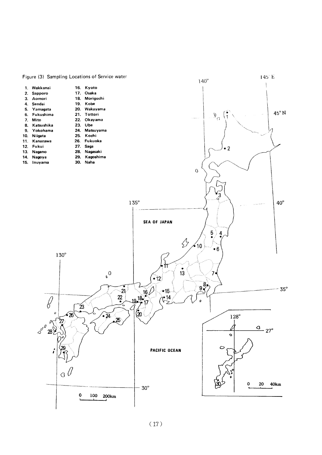

# Figure (3) Sampling Locations of Service water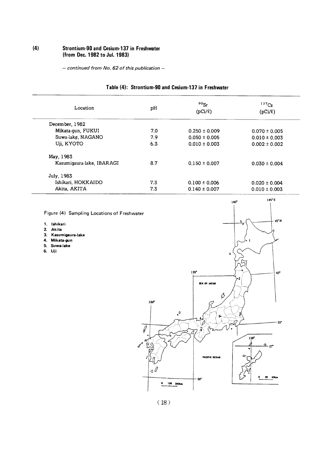# (4) Strontium-90 and Cesium-137 in Freshwater (from Dec. 1982 to Jul. 1983)

- continued from No. 62 of this publication -

| Location                  | pН                       | $90$ Sr<br>$(pCi/\ell)$ | $137C_S$<br>$(pCi/\ell)$ |  |
|---------------------------|--------------------------|-------------------------|--------------------------|--|
| December, 1982            |                          |                         |                          |  |
| Mikata-gun, FUKUI         | 7.0<br>$0.250 \pm 0.009$ |                         | $0.070 \pm 0.005$        |  |
| Suwa-lake, NAGANO         | 7.9                      | $0.050 \pm 0.005$       | $0.010 \pm 0.003$        |  |
| Uji, KYOTO                | 6.3                      | $0.010 \pm 0.003$       | $0.002 \pm 0.002$        |  |
| May, 1983                 |                          |                         |                          |  |
| Kasumigaura lake, IBARAGI | 8.7                      | $0.150 \pm 0.007$       | $0.030 \pm 0.004$        |  |
| July, 1983                |                          |                         |                          |  |
| Ishikari, HOKKAIDO        | 7.3                      | $0.100 \pm 0.006$       | $0.020 \pm 0.004$        |  |
| Akita, AKITA              | 7.3                      | $0.140 \pm 0.007$       | $0.010 \pm 0.003$        |  |

# Table (4): Strontium-90 and Cesium-137 in Freshwater

Figure (4) Sampling Locations of Freshwater

1. Ishikari

- 2.Akita
- 3. Kasumigaura-lake
- 4.Mikata-gun
- 5. Suwa-lake
- 6.Uji



 $145^{\circ}E$ 

 $140^\circ$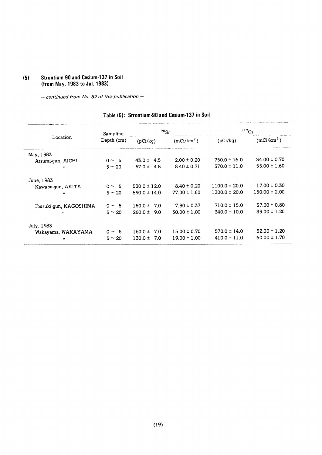# (5) Strontium-90 and Cesium-137 in Soil (from May. 1983 to Jul. 1983)

- continued from No. 62 of this publication -

| Location               | Sampling<br>Depth (cm) | $90$ <sub>Sr</sub> |                        | 137Cs             |                        |
|------------------------|------------------------|--------------------|------------------------|-------------------|------------------------|
|                        |                        | (pCi/kg)           | (mCi/km <sup>2</sup> ) | (pCi/kg)          | (mCi/km <sup>2</sup> ) |
| May, 1983              |                        |                    |                        |                   |                        |
| Atsumi-qun, AICHI      | $0 \sim 5$             | $43.0 \pm 4.5$     | $2.00 \pm 0.20$        | $750.0 \pm 16.0$  | $34.00 \pm 0.70$       |
| $\mathbf{r}$           | $5 \sim 20$            | $57.0 \pm 4.8$     | $8.40 \pm 0.71$        | $370.0 \pm 11.0$  | $55.00 \pm 1.60$       |
| June, 1983             |                        |                    |                        |                   |                        |
| Kawabe-qun, AKITA      | $0 \sim 5$             | $530.0 \pm 12.0$   | $8.40 \pm 0.20$        | $1100.0 \pm 20.0$ | $17.00 \pm 0.30$       |
| $^{\prime\prime}$      | $5 \sim 20$            | $690.0 \pm 14.0$   | $77.00 \pm 1.60$       | $1300.0 \pm 20.0$ | $150.00 \pm 2.00$      |
| Ibusuki-gun, KAGOSHIMA | $0 \sim 5$             | $150.0 \pm$<br>7.0 | $7.80 \pm 0.37$        | $710.0 \pm 15.0$  | $37.00 \pm 0.80$       |
| $^{\prime\prime}$      | $5 \sim 20$            | $260.0 \pm$<br>9.0 | $30.00 \pm 1.00$       | $340.0 \pm 10.0$  | $39.00 \pm 1.20$       |
| July, 1983             |                        |                    |                        |                   |                        |
| Wakayama, WAKAYAMA     | $0 \sim 5$             | 7.0<br>$160.0 \pm$ | $15.00 \pm 0.70$       | $570.0 \pm 14.0$  | $52.00 \pm 1.20$       |
| $^{\prime\prime}$      | $5 \sim 20$            | $130.0 \pm$<br>7.0 | $19.00 \pm 1.00$       | $410.0 \pm 11.0$  | $60.00 \pm 1.70$       |

# Table (5): Strontium-90 and Cesium-137 in Soil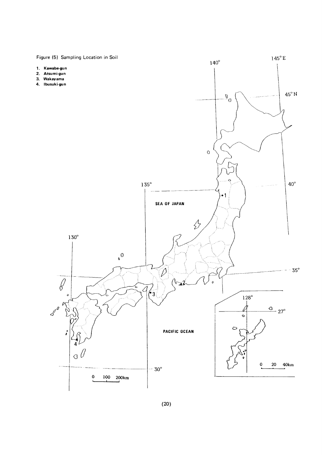Figure (5) Sampling Location in Soil  $145^{\circ}$  E  $140^\circ$ 1. Kawabe-gun 2. Atsumi-gun  $3.$ Wakayama 4. Ibusuki-gun  $45^{\circ}$  N  $\overline{\mathfrak{d}}^0$  $\circ$  $\circ$  $135^\circ$  $40^{\circ}$  $\bullet$  1 SEA OF JAPAN  $\oint$  $130^\circ$  $\sigma$ <sup>0</sup>  $\sqrt{2}$  $35^\circ$  $\overline{\mathcal{O}}$  $\overline{a}$  $\mathbf{r}_3$  $\mathfrak{o}$  $128^\circ$  $\boldsymbol{\delta}^{\boldsymbol{\delta}^{\boldsymbol{\theta}}}$  $\rho$  $\frac{Q}{27}$ k  $\circ$  $\circ$ **PACIFIC OCEAN**  $\mathbf{r}$ Δ  $\sigma$  $\mathbf 0$ 20 40km  $-30^\circ$  $\mathbf 0$ 100 200<sub>km</sub>